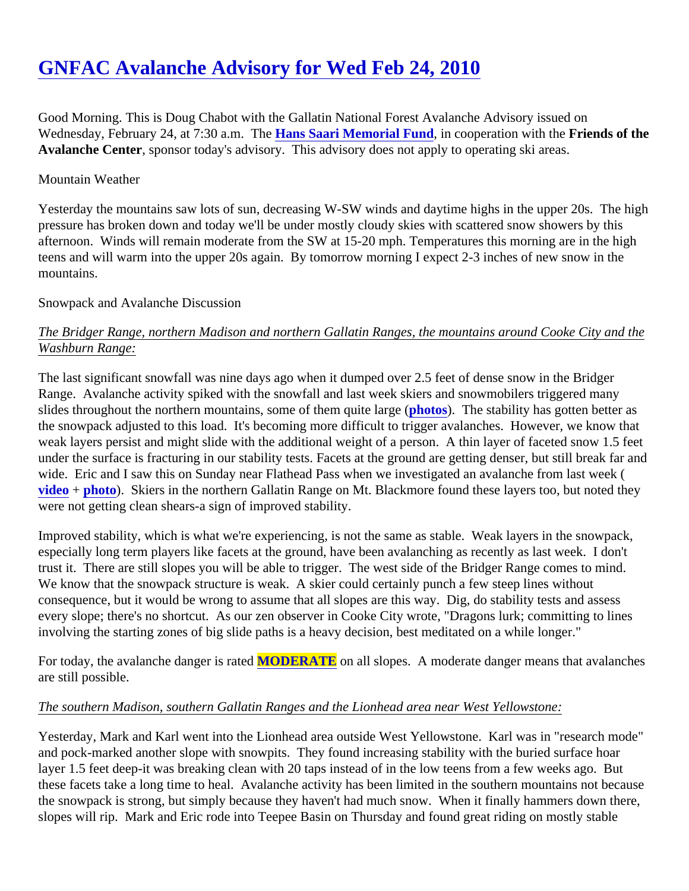Good Morning. This is Doug Chabot with the Gallatin National Forest Avalanche Advisory issued on Wednesday, February 24, at 7:30 a.m. Filaes Saari Memorial Fund, in cooperation with the Friends of the Avalanche Center sponsor today's advisory. This advisory does not apply to operating ski areas.

## Mountain Weather

Yesterday the mountains saw lots of sun, decreasing W-SW winds and daytime highs in the upper 20s. The pressure has broken down and today we'll be under mostly cloudy skies with scattered snow showers by this afternoon. Winds will remain moderate from the SW at 15-20 mph. Temperatures this morning are in the high teens and will warm into the upper 20s again. By tomorrow morning I expect 2-3 inches of new snow in the mountains.

### Snowpack and Avalanche Discussion

# The Bridger Range, northern Madison and northern Gallatin Ranges, the mountains around Cooke City and the Washburn Range:

The last significant snowfall was nine days ago when it dumped over 2.5 feet of dense snow in the Bridger Range. Avalanche activity spiked with the snowfall and last week skiers and snowmobilers triggered many slides throughout the northern mountains, some of them quite **panges**). The stability has gotten better as the snowpack adjusted to this load. It's becoming more difficult to trigger avalanches. However, we know that weak layers persist and might slide with the additional weight of a person. A thin layer of faceted snow 1.5 fe under the surface is fracturing in our stability tests. Facets at the ground are getting denser, but still break far wide. Eric and I saw this on Sunday near Flathead Pass when we investigated an avalanche from last week [video](http://www.youtube.com/watch?v=TUmwcpnB_wM) + [photo](http://www.mtavalanche.com/images/10/flathead-pass-avalanche)). Skiers in the northern Gallatin Range on Mt. Blackmore found these layers too, but noted they were not getting clean shears-a sign of improved stability.

Improved stability, which is what we're experiencing, is not the same as stable. Weak layers in the snowpack especially long term players like facets at the ground, have been avalanching as recently as last week. I don't trust it. There are still slopes you will be able to trigger. The west side of the Bridger Range comes to mind. We know that the snowpack structure is weak. A skier could certainly punch a few steep lines without consequence, but it would be wrong to assume that all slopes are this way. Dig, do stability tests and assess every slope; there's no shortcut. As our zen observer in Cooke City wrote, "Dragons lurk; committing to lines involving the starting zones of big slide paths is a heavy decision, best meditated on a while longer."

For today, the avalanche danger is raMODERATE on all slopes. A moderate danger means that avalanches are still possible.

### The southern Madison, southern Gallatin Ranges and the Lionhead area near West Yellowstone:

Yesterday, Mark and Karl went into the Lionhead area outside West Yellowstone. Karl was in "research mod and pock-marked another slope with snowpits. They found increasing stability with the buried surface hoar layer 1.5 feet deep-it was breaking clean with 20 taps instead of in the low teens from a few weeks ago. But these facets take a long time to heal. Avalanche activity has been limited in the southern mountains not because the snowpack is strong, but simply because they haven't had much snow. When it finally hammers down the slopes will rip. Mark and Eric rode into Teepee Basin on Thursday and found great riding on mostly stable